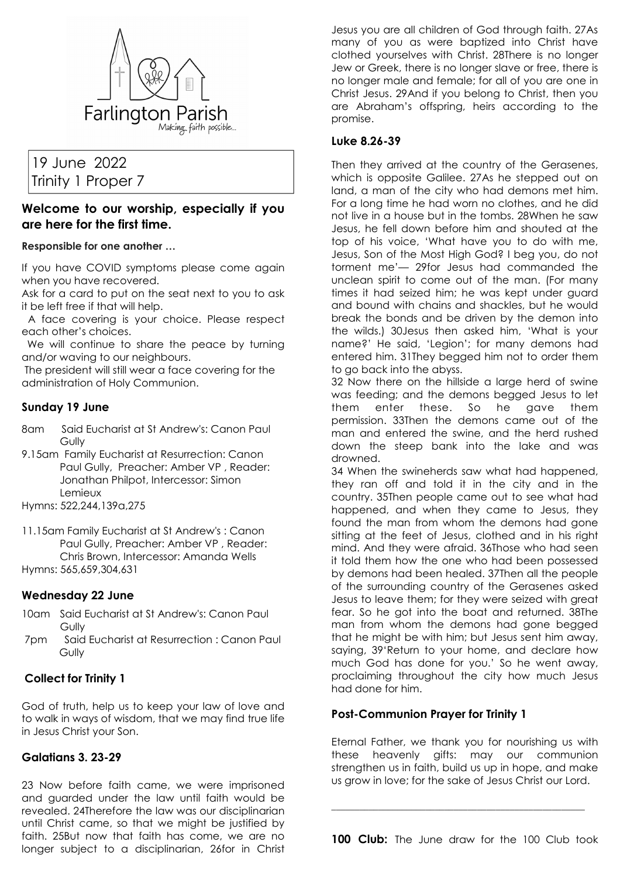

# 19 June 2022 Trinity 1 Proper 7

## **Welcome to our worship, especially if you are here for the first time.**

#### **Responsible for one another …**

If you have COVID symptoms please come again when you have recovered.

Ask for a card to put on the seat next to you to ask it be left free if that will help.

 A face covering is your choice. Please respect each other's choices.

 We will continue to share the peace by turning and/or waving to our neighbours.

 The president will still wear a face covering for the administration of Holy Communion.

#### **Sunday 19 June**

- 8am Said Eucharist at St Andrew's: Canon Paul **Gully**
- 9.15am Family Eucharist at Resurrection: Canon Paul Gully, Preacher: Amber VP , Reader: Jonathan Philpot, Intercessor: Simon Lemieux
- Hymns: 522,244,139a,275
- 11.15am Family Eucharist at St Andrew's : Canon Paul Gully, Preacher: Amber VP , Reader: Chris Brown, Intercessor: Amanda Wells Hymns: 565,659,304,631

### **Wednesday 22 June**

- 10am Said Eucharist at St Andrew's: Canon Paul Gully
- 7pm Said Eucharist at Resurrection : Canon Paul **Gully**

### **Collect for Trinity 1**

God of truth, help us to keep your law of love and to walk in ways of wisdom, that we may find true life in Jesus Christ your Son.

### **Galatians 3. 23-29**

23 Now before faith came, we were imprisoned and guarded under the law until faith would be revealed. 24Therefore the law was our disciplinarian until Christ came, so that we might be justified by faith. 25But now that faith has come, we are no longer subject to a disciplinarian, 26for in Christ Jesus you are all children of God through faith. 27As many of you as were baptized into Christ have clothed yourselves with Christ. 28There is no longer Jew or Greek, there is no longer slave or free, there is no longer male and female; for all of you are one in Christ Jesus. 29And if you belong to Christ, then you are Abraham's offspring, heirs according to the promise.

#### **Luke 8.26-39**

Then they arrived at the country of the Gerasenes, which is opposite Galilee. 27As he stepped out on land, a man of the city who had demons met him. For a long time he had worn no clothes, and he did not live in a house but in the tombs. 28When he saw Jesus, he fell down before him and shouted at the top of his voice, 'What have you to do with me, Jesus, Son of the Most High God? I beg you, do not torment me'— 29for Jesus had commanded the unclean spirit to come out of the man. (For many times it had seized him; he was kept under guard and bound with chains and shackles, but he would break the bonds and be driven by the demon into the wilds.) 30Jesus then asked him, 'What is your name?' He said, 'Legion'; for many demons had entered him. 31They begged him not to order them to go back into the abyss.

32 Now there on the hillside a large herd of swine was feeding; and the demons begged Jesus to let them enter these. So he gave them permission. 33Then the demons came out of the man and entered the swine, and the herd rushed down the steep bank into the lake and was drowned.

34 When the swineherds saw what had happened, they ran off and told it in the city and in the country. 35Then people came out to see what had happened, and when they came to Jesus, they found the man from whom the demons had gone sitting at the feet of Jesus, clothed and in his right mind. And they were afraid. 36Those who had seen it told them how the one who had been possessed by demons had been healed. 37Then all the people of the surrounding country of the Gerasenes asked Jesus to leave them; for they were seized with great fear. So he got into the boat and returned. 38The man from whom the demons had gone begged that he might be with him; but Jesus sent him away, saying, 39'Return to your home, and declare how much God has done for you.' So he went away, proclaiming throughout the city how much Jesus had done for him.

#### **Post-Communion Prayer for Trinity 1**

Eternal Father, we thank you for nourishing us with these heavenly gifts: may our communion strengthen us in faith, build us up in hope, and make us grow in love; for the sake of Jesus Christ our Lord.

**100 Club:** The June draw for the 100 Club took

**\_\_\_\_\_\_\_\_\_\_\_\_\_\_\_\_\_\_\_\_\_\_\_\_\_\_\_\_\_\_\_\_\_\_\_\_\_\_\_\_\_\_\_\_\_\_\_\_\_\_\_\_\_\_**